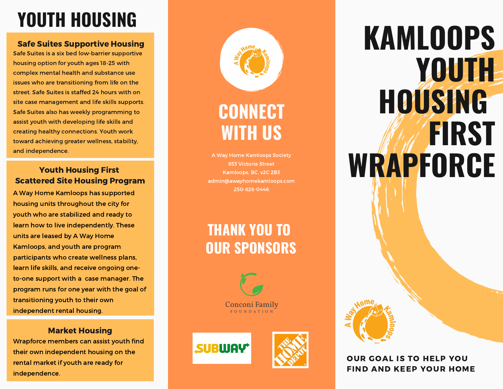# **YOUTH HOUSING**

#### Safe Suites Supportive Housing

Safe Suites is a six bed low-barrier supportive housing option for youth ages 18-25 with complex mental health and substance use issues who are transitioning from life on the street. Safe Suites is staffed 24 hours with on site case management and life skills supports. Safe Suites also has weekly programming to assist youth with developing life skills and creating healthy connections. Youth work toward achieving greater wellness, stability, and independence.

#### **Youth Housing First Scattered Site Housing Program**

A Way Home Kamloops has supported housing units throughout the city for vouth who are stabilized and ready to learn how to live independently. These units are leased by A Way Home Kamloops, and youth are program participants who create wellness plans, learn life skills, and receive ongoing one to-one support with a case manager. The program runs for one year with the goal of transitioning vouth to their own independent rental housing. **YOUTH HOUSIN**<br>
Safe Suites Supportive Houss<br>
Safe Suites is a six bed low-barrier suppo<br>
housing option for youth ages 18-25 with<br>
complex mental health and substance u:<br>
issues who are transitioning from life on<br>
site ca

#### Market Housing

Wrapforce members can assist youth find their own independent housing on the rental market if vouth are ready for



# $$ **WITH US**

A Way Home Kamloops Society 653 Victoria Street Kamloops, BC, v2C 2B3 admin@awayhomekamloops.com 2 5 0 - 8 2 8 - 0 4 4 6

# **THANK YOU TO OUR SPONSORS**







# **K A M L O O P S Y O U T H H O U S I N G F I R S T W R A P F O R C E**



#### OUR GOAL IS TO HELP YOU FIND AND KEEP YOUR HOME